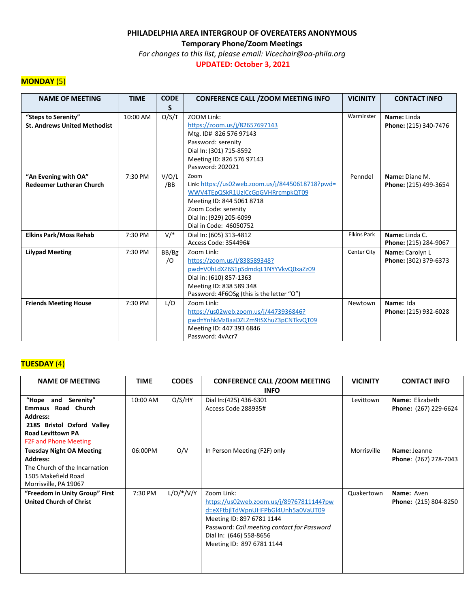**Temporary Phone/Zoom Meetings**

*For changes to this list, please email: Vicechair@oa-phila.org*

**UPDATED: October 3, 2021**

### **MONDAY** (5)

| <b>NAME OF MEETING</b>              | <b>TIME</b> | <b>CODE</b> | <b>CONFERENCE CALL / ZOOM MEETING INFO</b>       | <b>VICINITY</b>    | <b>CONTACT INFO</b>   |
|-------------------------------------|-------------|-------------|--------------------------------------------------|--------------------|-----------------------|
|                                     |             | S           |                                                  |                    |                       |
| "Steps to Serenity"                 | 10:00 AM    | O/S/T       | ZOOM Link:                                       | Warminster         | Name: Linda           |
| <b>St. Andrews United Methodist</b> |             |             | https://zoom.us/j/82657697143                    |                    | Phone: (215) 340-7476 |
|                                     |             |             | Mtg. ID# 826 576 97143                           |                    |                       |
|                                     |             |             | Password: serenity                               |                    |                       |
|                                     |             |             | Dial In: (301) 715-8592                          |                    |                       |
|                                     |             |             | Meeting ID: 826 576 97143                        |                    |                       |
|                                     |             |             | Password: 202021                                 |                    |                       |
| "An Evening with OA"                | 7:30 PM     | V/O/L       | Zoom                                             | Penndel            | Name: Diane M.        |
| <b>Redeemer Lutheran Church</b>     |             | /BB         | Link: https://us02web.zoom.us/j/84450618718?pwd= |                    | Phone: (215) 499-3654 |
|                                     |             |             | WWV4TEpQSkR1UzICcGpGVHRrcmpkQT09                 |                    |                       |
|                                     |             |             | Meeting ID: 844 5061 8718                        |                    |                       |
|                                     |             |             | Zoom Code: serenity                              |                    |                       |
|                                     |             |             | Dial In: (929) 205-6099                          |                    |                       |
|                                     |             |             | Dial in Code: 46050752                           |                    |                       |
| <b>Elkins Park/Moss Rehab</b>       | 7:30 PM     | $V/*$       | Dial In: (605) 313-4812                          | <b>Elkins Park</b> | Name: Linda C.        |
|                                     |             |             | Access Code: 354496#                             |                    | Phone: (215) 284-9067 |
| <b>Lilypad Meeting</b>              | 7:30 PM     | BB/Bg       | Zoom Link:                                       | Center City        | Name: Carolyn L       |
|                                     |             | $\sqrt{O}$  | https://zoom.us/j/838589348?                     |                    | Phone: (302) 379-6373 |
|                                     |             |             | pwd=V0hLdXZ6S1pSdmdqL1NYYVkvQ0xaZz09             |                    |                       |
|                                     |             |             | Dial in: (610) 857-1363                          |                    |                       |
|                                     |             |             | Meeting ID: 838 589 348                          |                    |                       |
|                                     |             |             | Password: 4F6OSg (this is the letter "O")        |                    |                       |
| <b>Friends Meeting House</b>        | 7:30 PM     | L/O         | Zoom Link:                                       | Newtown            | Name: Ida             |
|                                     |             |             | https://us02web.zoom.us/j/4473936846?            |                    | Phone: (215) 932-6028 |
|                                     |             |             | pwd=YnhkMzBaaDZLZm9tSXhuZ3pCNTkvQT09             |                    |                       |
|                                     |             |             | Meeting ID: 447 393 6846                         |                    |                       |
|                                     |             |             | Password: 4yAcr7                                 |                    |                       |

# **TUESDAY** (4)

| <b>NAME OF MEETING</b>                                                                                                              | <b>TIME</b> | <b>CODES</b> | <b>CONFERENCE CALL / ZOOM MEETING</b>                                                                                                                                                                                            | <b>VICINITY</b> | <b>CONTACT INFO</b>                   |
|-------------------------------------------------------------------------------------------------------------------------------------|-------------|--------------|----------------------------------------------------------------------------------------------------------------------------------------------------------------------------------------------------------------------------------|-----------------|---------------------------------------|
|                                                                                                                                     |             |              | <b>INFO</b>                                                                                                                                                                                                                      |                 |                                       |
| "Hope and<br>Serenity"                                                                                                              | 10:00 AM    | O/S/HY       | Dial In: (425) 436-6301                                                                                                                                                                                                          | Levittown       | Name: Elizabeth                       |
| <b>Emmaus Road Church</b>                                                                                                           |             |              | Access Code 288935#                                                                                                                                                                                                              |                 | Phone: (267) 229-6624                 |
| <b>Address:</b>                                                                                                                     |             |              |                                                                                                                                                                                                                                  |                 |                                       |
| 2185 Bristol Oxford Valley                                                                                                          |             |              |                                                                                                                                                                                                                                  |                 |                                       |
| <b>Road Levittown PA</b>                                                                                                            |             |              |                                                                                                                                                                                                                                  |                 |                                       |
| <b>F2F and Phone Meeting</b>                                                                                                        |             |              |                                                                                                                                                                                                                                  |                 |                                       |
| <b>Tuesday Night OA Meeting</b><br><b>Address:</b><br>The Church of the Incarnation<br>1505 Makefield Road<br>Morrisville, PA 19067 | 06:00PM     | O/V          | In Person Meeting (F2F) only                                                                                                                                                                                                     | Morrisville     | Name: Jeanne<br>Phone: (267) 278-7043 |
| "Freedom in Unity Group" First<br><b>United Church of Christ</b>                                                                    | 7:30 PM     | $L/O/*/V/Y$  | Zoom Link:<br>https://us02web.zoom.us/j/89767811144?pw<br>d=eXFtbjlTdWpnUHFPbGl4Unh5a0VaUT09<br>Meeting ID: 897 6781 1144<br>Password: Call meeting contact for Password<br>Dial In: (646) 558-8656<br>Meeting ID: 897 6781 1144 | Quakertown      | Name: Aven<br>Phone: (215) 804-8250   |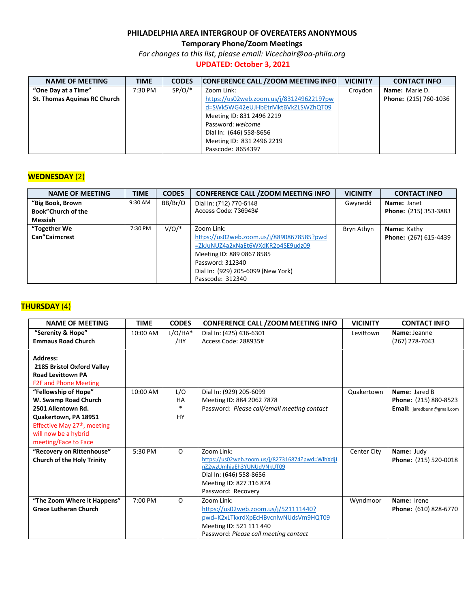**Temporary Phone/Zoom Meetings**

*For changes to this list, please email: Vicechair@oa-phila.org*

## **UPDATED: October 3, 2021**

| <b>NAME OF MEETING</b>              | <b>TIME</b> | <b>CODES</b> | <b>CONFERENCE CALL / ZOOM MEETING INFO.</b> | <b>VICINITY</b> | <b>CONTACT INFO</b>   |
|-------------------------------------|-------------|--------------|---------------------------------------------|-----------------|-----------------------|
| "One Day at a Time"                 | 7:30 PM     | $SP/O/*$     | Zoom Link:                                  | Croydon         | <b>Name:</b> Marie D. |
| <b>St. Thomas Aquinas RC Church</b> |             |              | https://us02web.zoom.us/j/83124962219?pw    |                 | Phone: (215) 760-1036 |
|                                     |             |              | d=SWk5WG42eUJHbEtrMktBVkZLSWZhQT09          |                 |                       |
|                                     |             |              | Meeting ID: 831 2496 2219                   |                 |                       |
|                                     |             |              | Password: welcome                           |                 |                       |
|                                     |             |              | Dial In: (646) 558-8656                     |                 |                       |
|                                     |             |              | Meeting ID: 831 2496 2219                   |                 |                       |
|                                     |             |              | Passcode: 8654397                           |                 |                       |

### **WEDNESDAY** (2)

| <b>NAME OF MEETING</b>    | <b>TIME</b> | <b>CODES</b> | <b>CONFERENCE CALL / ZOOM MEETING INFO</b> | <b>VICINITY</b> | <b>CONTACT INFO</b>          |
|---------------------------|-------------|--------------|--------------------------------------------|-----------------|------------------------------|
| "Big Book, Brown          | 9:30 AM     | BB/Br/O      | Dial In: (712) 770-5148                    | Gwynedd         | Name: Janet                  |
| <b>Book"Church of the</b> |             |              | Access Code: 736943#                       |                 | <b>Phone: (215) 353-3883</b> |
| Messiah                   |             |              |                                            |                 |                              |
| "Together We              | 7:30 PM     | $V/O/*$      | Zoom Link:                                 | Bryn Athyn      | <b>Name:</b> Kathy           |
| <b>Can</b> "Cairncrest    |             |              | https://us02web.zoom.us/j/88908678585?pwd  |                 | Phone: (267) 615-4439        |
|                           |             |              | =ZkJuNUZ4a2xNaEt6WXdKR2o4SE9udz09          |                 |                              |
|                           |             |              | Meeting ID: 889 0867 8585                  |                 |                              |
|                           |             |              | Password: 312340                           |                 |                              |
|                           |             |              | Dial In: (929) 205-6099 (New York)         |                 |                              |
|                           |             |              | Passcode: 312340                           |                 |                              |

### **THURSDAY** (4)

| <b>NAME OF MEETING</b>            | <b>TIME</b> | <b>CODES</b> | <b>CONFERENCE CALL / ZOOM MEETING INFO</b>      | <b>VICINITY</b> | <b>CONTACT INFO</b>        |
|-----------------------------------|-------------|--------------|-------------------------------------------------|-----------------|----------------------------|
| "Serenity & Hope"                 | 10:00 AM    | $L/O/HA*$    | Dial In: (425) 436-6301                         | Levittown       | Name: Jeanne               |
| <b>Emmaus Road Church</b>         |             | /HY          | Access Code: 288935#                            |                 | (267) 278-7043             |
|                                   |             |              |                                                 |                 |                            |
| <b>Address:</b>                   |             |              |                                                 |                 |                            |
| 2185 Bristol Oxford Valley        |             |              |                                                 |                 |                            |
| <b>Road Levittown PA</b>          |             |              |                                                 |                 |                            |
| <b>F2F and Phone Meeting</b>      |             |              |                                                 |                 |                            |
| "Fellowship of Hope"              | 10:00 AM    | L/O          | Dial In: (929) 205-6099                         | Quakertown      | Name: Jared B              |
| W. Swamp Road Church              |             | <b>HA</b>    | Meeting ID: 884 2062 7878                       |                 | Phone: (215) 880-8523      |
| 2501 Allentown Rd.                |             | $\ast$       | Password: Please call/email meeting contact     |                 | Email: jaredbenn@gmail.com |
| Quakertown, PA 18951              |             | <b>HY</b>    |                                                 |                 |                            |
| Effective May 27th, meeting       |             |              |                                                 |                 |                            |
| will now be a hybrid              |             |              |                                                 |                 |                            |
| meeting/Face to Face              |             |              |                                                 |                 |                            |
| "Recovery on Rittenhouse"         | 5:30 PM     | $\Omega$     | Zoom Link:                                      | Center City     | Name: Judy                 |
| <b>Church of the Holy Trinity</b> |             |              | https://us02web.zoom.us/j/827316874?pwd=WlhXdjJ |                 | Phone: (215) 520-0018      |
|                                   |             |              | nZ2wzUmhjaEh3YUNUdVNkUT09                       |                 |                            |
|                                   |             |              | Dial In: (646) 558-8656                         |                 |                            |
|                                   |             |              | Meeting ID: 827 316 874                         |                 |                            |
|                                   |             |              | Password: Recovery                              |                 |                            |
| "The Zoom Where it Happens"       | 7:00 PM     | $\Omega$     | Zoom Link:                                      | Wyndmoor        | Name: Irene                |
| <b>Grace Lutheran Church</b>      |             |              | https://us02web.zoom.us/j/521111440?            |                 | Phone: (610) 828-6770      |
|                                   |             |              | pwd=K2xLTkxrdXpEcHBvcnlwNUdsVm9HQT09            |                 |                            |
|                                   |             |              | Meeting ID: 521 111 440                         |                 |                            |
|                                   |             |              | Password: Please call meeting contact           |                 |                            |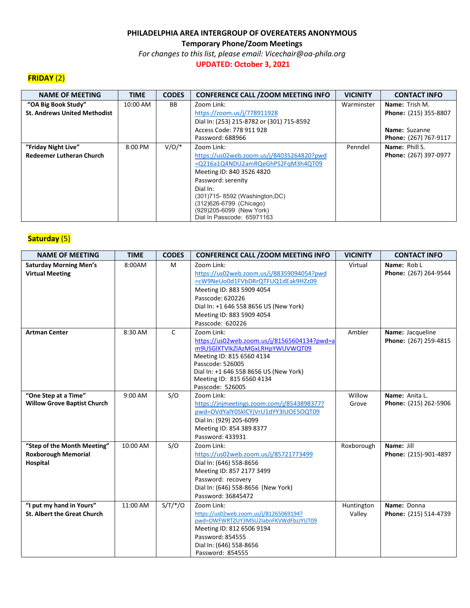**Temporary Phone/Zoom Meetings**

*For changes to this list, please email: Vicechair@oa-phila.org*

#### **UPDATED: October 3, 2021**

# **FRIDAY** (2)

| <b>NAME OF MEETING</b>              | <b>TIME</b> | <b>CODES</b> | <b>CONFERENCE CALL / ZOOM MEETING INFO</b>             | <b>VICINITY</b> | <b>CONTACT INFO</b>   |
|-------------------------------------|-------------|--------------|--------------------------------------------------------|-----------------|-----------------------|
| "OA Big Book Study"                 | 10:00 AM    | BB.          | Zoom Link:                                             | Warminster      | <b>Name:</b> Trish M. |
| <b>St. Andrews United Methodist</b> |             |              | https://zoom.us/j/778911928                            |                 | Phone: (215) 355-8807 |
|                                     |             |              | Dial In: (253) 215-8782 or (301) 715-8592              |                 |                       |
|                                     |             |              | Access Code: 778 911 928                               |                 | Name: Suzanne         |
|                                     |             |              | Password: 688966                                       |                 | Phone: (267) 767-9117 |
| "Friday Night Live"                 | 8:00 PM     | $V/O/*$      | Zoom Link:                                             | Penndel         | Name: Phill S.        |
| <b>Redeemer Lutheran Church</b>     |             |              | https://us02web.zoom.us/j/84035264820?pwd              |                 | Phone: (267) 397-0977 |
|                                     |             |              | =Q216a1Q4NDU2amRQeGhPS2FqM3h4QT09                      |                 |                       |
|                                     |             |              | Meeting ID: 840 3526 4820                              |                 |                       |
|                                     |             |              | Password: serenity                                     |                 |                       |
|                                     |             |              | Dial In:                                               |                 |                       |
|                                     |             |              | (301)715-8592 (Washington, DC)                         |                 |                       |
|                                     |             |              | (312) 626-6799 (Chicago)                               |                 |                       |
|                                     |             |              | (929)205-6099 (New York)<br>Dial In Passcode: 65971163 |                 |                       |
|                                     |             |              |                                                        |                 |                       |

## **Saturday** (5)

| <b>NAME OF MEETING</b>                                                | <b>TIME</b> | <b>CODES</b> | <b>CONFERENCE CALL / ZOOM MEETING INFO</b>                                                                                                                                                                                               | <b>VICINITY</b>      | <b>CONTACT INFO</b>                       |
|-----------------------------------------------------------------------|-------------|--------------|------------------------------------------------------------------------------------------------------------------------------------------------------------------------------------------------------------------------------------------|----------------------|-------------------------------------------|
| <b>Saturday Morning Men's</b><br><b>Virtual Meeting</b>               | 8:00AM      | M            | Zoom Link:<br>https://us02web.zoom.us/j/88359094054?pwd<br>=cW9NeUo0d1FVbDRrQTFUQ1dEak9HZz09<br>Meeting ID: 883 5909 4054<br>Passcode: 620226<br>Dial In: +1 646 558 8656 US (New York)<br>Meeting ID: 883 5909 4054<br>Passcode: 620226 | Virtual              | Name: Rob L<br>Phone: (267) 264-9544      |
| <b>Artman Center</b>                                                  | 8:30 AM     | $\mathsf{C}$ | Zoom Link:<br>https://us02web.zoom.us/j/81565604134?pwd=a<br>m9USGIXTVlkZlAzMGxLRHpYWUVWQT09<br>Meeting ID: 815 6560 4134<br>Passcode: 526005<br>Dial In: +1 646 558 8656 US (New York)<br>Meeting ID: 815 6560 4134<br>Passcode: 526005 | Ambler               | Name: Jacqueline<br>Phone: (267) 259-4815 |
| "One Step at a Time"<br><b>Willow Grove Baptist Church</b>            | 9:00 AM     | S/O          | Zoom Link:<br>https://jnjmeetings.zoom.com/j/8543898377?<br>pwd=OVdYalY0SklCYjVrU1dYY3lUOE5OQT09<br>Dial In: (929) 205-6099<br>Meeting ID: 854 389 8377<br>Password: 433931                                                              | Willow<br>Grove      | Name: Anita L.<br>Phone: (215) 262-5906   |
| "Step of the Month Meeting"<br><b>Roxborough Memorial</b><br>Hospital | 10:00 AM    | S/O          | Zoom Link:<br>https://us02web.zoom.us/j/85721773499<br>Dial In: (646) 558-8656<br>Meeting ID: 857 2177 3499<br>Password: recovery<br>Dial In: (646) 558-8656 (New York)<br>Password: 36845472                                            | Roxborough           | Name: Jill<br>Phone: (215)-901-4897       |
| "I put my hand in Yours"<br><b>St. Albert the Great Church</b>        | 11:00 AM    | $S/T/*/O$    | Zoom Link:<br>https://us02web.zoom.us/j/81265069194?<br>pwd=OWFWRTZUY3M5U2labnFKVWdFbzJYUT09<br>Meeting ID: 812 6506 9194<br>Password: 854555<br>Dial In: (646) 558-8656<br>Password: 854555                                             | Huntington<br>Valley | Name: Donna<br>Phone: (215) 514-4739      |